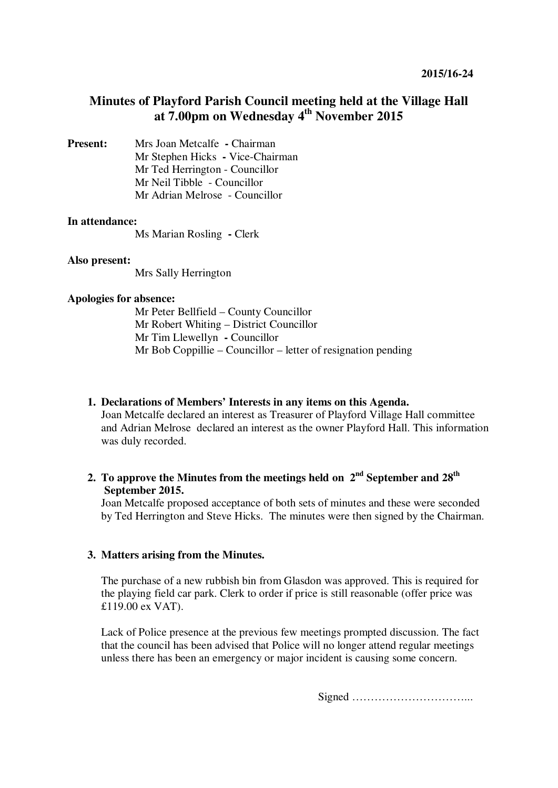# **Minutes of Playford Parish Council meeting held at the Village Hall at 7.00pm on Wednesday 4th November 2015**

**Present:** Mrs Joan Metcalfe **- Chairman** Mr Stephen Hicks **-** Vice-Chairman Mr Ted Herrington - Councillor Mr Neil Tibble - Councillor Mr Adrian Melrose - Councillor

## **In attendance:**

Ms Marian Rosling **-** Clerk

#### **Also present:**

Mrs Sally Herrington

#### **Apologies for absence:**

Mr Peter Bellfield – County Councillor Mr Robert Whiting – District Councillor Mr Tim Llewellyn **-** Councillor Mr Bob Coppillie – Councillor – letter of resignation pending

## **1. Declarations of Members' Interests in any items on this Agenda.**

Joan Metcalfe declared an interest as Treasurer of Playford Village Hall committee and Adrian Melrose declared an interest as the owner Playford Hall. This information was duly recorded.

# **2. To approve the Minutes from the meetings held on 2nd September and 28th September 2015.**

Joan Metcalfe proposed acceptance of both sets of minutes and these were seconded by Ted Herrington and Steve Hicks. The minutes were then signed by the Chairman.

## **3. Matters arising from the Minutes.**

The purchase of a new rubbish bin from Glasdon was approved. This is required for the playing field car park. Clerk to order if price is still reasonable (offer price was £119.00 ex VAT).

Lack of Police presence at the previous few meetings prompted discussion. The fact that the council has been advised that Police will no longer attend regular meetings unless there has been an emergency or major incident is causing some concern.

Signed …………………………...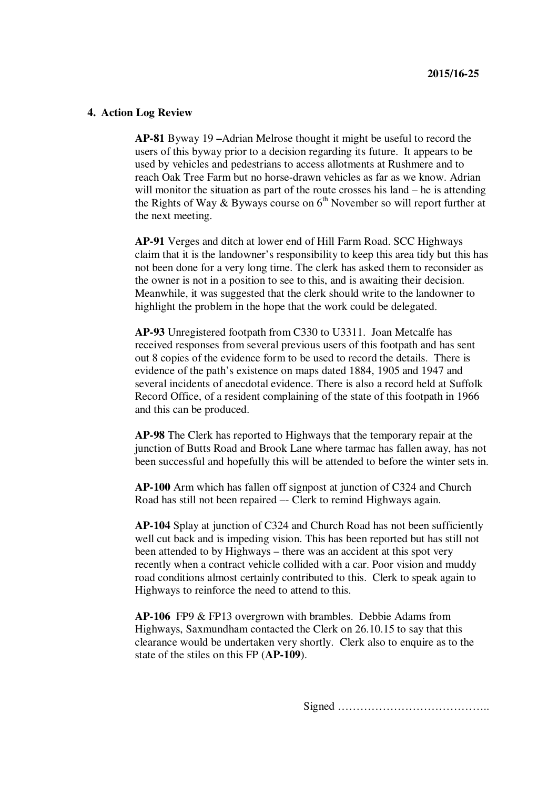#### **4. Action Log Review**

**AP-81** Byway 19 **–**Adrian Melrose thought it might be useful to record the users of this byway prior to a decision regarding its future. It appears to be used by vehicles and pedestrians to access allotments at Rushmere and to reach Oak Tree Farm but no horse-drawn vehicles as far as we know. Adrian will monitor the situation as part of the route crosses his land – he is attending the Rights of Way & Byways course on  $6<sup>th</sup>$  November so will report further at the next meeting.

**AP-91** Verges and ditch at lower end of Hill Farm Road. SCC Highways claim that it is the landowner's responsibility to keep this area tidy but this has not been done for a very long time. The clerk has asked them to reconsider as the owner is not in a position to see to this, and is awaiting their decision. Meanwhile, it was suggested that the clerk should write to the landowner to highlight the problem in the hope that the work could be delegated.

**AP-93** Unregistered footpath from C330 to U3311. Joan Metcalfe has received responses from several previous users of this footpath and has sent out 8 copies of the evidence form to be used to record the details. There is evidence of the path's existence on maps dated 1884, 1905 and 1947 and several incidents of anecdotal evidence. There is also a record held at Suffolk Record Office, of a resident complaining of the state of this footpath in 1966 and this can be produced.

**AP-98** The Clerk has reported to Highways that the temporary repair at the junction of Butts Road and Brook Lane where tarmac has fallen away, has not been successful and hopefully this will be attended to before the winter sets in.

**AP-100** Arm which has fallen off signpost at junction of C324 and Church Road has still not been repaired –- Clerk to remind Highways again.

**AP-104** Splay at junction of C324 and Church Road has not been sufficiently well cut back and is impeding vision. This has been reported but has still not been attended to by Highways – there was an accident at this spot very recently when a contract vehicle collided with a car. Poor vision and muddy road conditions almost certainly contributed to this. Clerk to speak again to Highways to reinforce the need to attend to this.

**AP-106** FP9 & FP13 overgrown with brambles. Debbie Adams from Highways, Saxmundham contacted the Clerk on 26.10.15 to say that this clearance would be undertaken very shortly. Clerk also to enquire as to the state of the stiles on this FP (**AP-109**).

Signed …………………………………..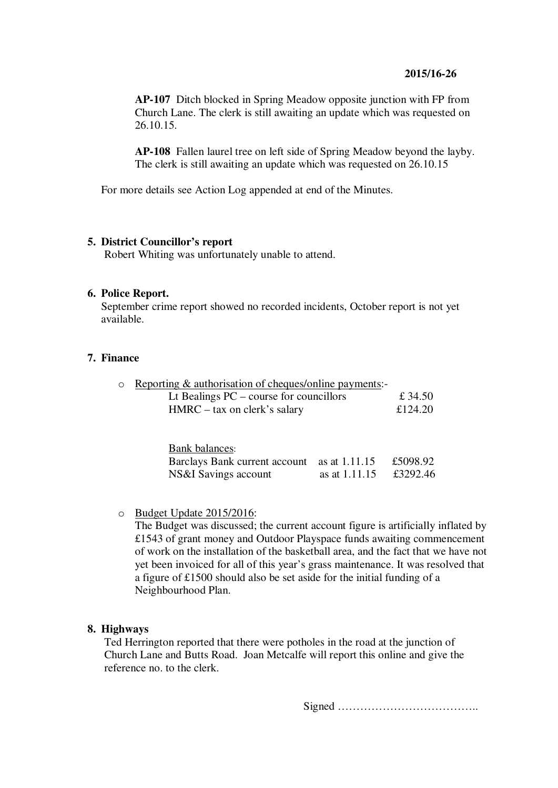## **2015/16-26**

**AP-107** Ditch blocked in Spring Meadow opposite junction with FP from Church Lane. The clerk is still awaiting an update which was requested on 26.10.15.

**AP-108** Fallen laurel tree on left side of Spring Meadow beyond the layby. The clerk is still awaiting an update which was requested on 26.10.15

For more details see Action Log appended at end of the Minutes.

## **5. District Councillor's report**

Robert Whiting was unfortunately unable to attend.

#### **6. Police Report.**

September crime report showed no recorded incidents, October report is not yet available.

### **7. Finance**

| $\circ$ Reporting & authorisation of cheques/online payments:- |         |
|----------------------------------------------------------------|---------|
| Lt Bealings $PC$ – course for councillors                      | £ 34.50 |
| $HMRC - tax$ on clerk's salary                                 | £124.20 |

| <b>Bank balances:</b>                       |               |          |
|---------------------------------------------|---------------|----------|
| Barclays Bank current account as at 1.11.15 |               | £5098.92 |
| NS&I Savings account                        | as at 1.11.15 | £3292.46 |

o Budget Update 2015/2016:

The Budget was discussed; the current account figure is artificially inflated by £1543 of grant money and Outdoor Playspace funds awaiting commencement of work on the installation of the basketball area, and the fact that we have not yet been invoiced for all of this year's grass maintenance. It was resolved that a figure of £1500 should also be set aside for the initial funding of a Neighbourhood Plan.

## **8. Highways**

Ted Herrington reported that there were potholes in the road at the junction of Church Lane and Butts Road. Joan Metcalfe will report this online and give the reference no. to the clerk.

Signed ………………………………..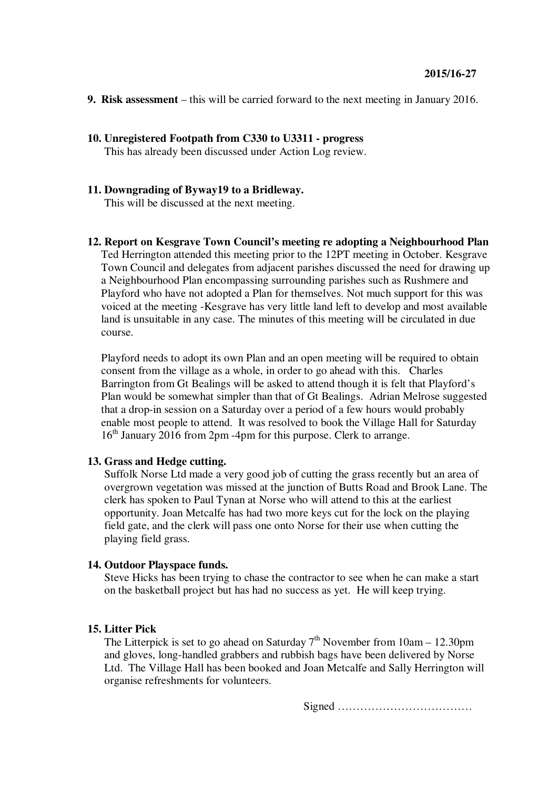- **9. Risk assessment**  this will be carried forward to the next meeting in January 2016.
- **10. Unregistered Footpath from C330 to U3311 progress** This has already been discussed under Action Log review.

## **11. Downgrading of Byway19 to a Bridleway.**

This will be discussed at the next meeting.

**12. Report on Kesgrave Town Council's meeting re adopting a Neighbourhood Plan** Ted Herrington attended this meeting prior to the 12PT meeting in October. Kesgrave Town Council and delegates from adjacent parishes discussed the need for drawing up a Neighbourhood Plan encompassing surrounding parishes such as Rushmere and Playford who have not adopted a Plan for themselves. Not much support for this was voiced at the meeting -Kesgrave has very little land left to develop and most available land is unsuitable in any case. The minutes of this meeting will be circulated in due course.

Playford needs to adopt its own Plan and an open meeting will be required to obtain consent from the village as a whole, in order to go ahead with this. Charles Barrington from Gt Bealings will be asked to attend though it is felt that Playford's Plan would be somewhat simpler than that of Gt Bealings. Adrian Melrose suggested that a drop-in session on a Saturday over a period of a few hours would probably enable most people to attend. It was resolved to book the Village Hall for Saturday  $16<sup>th</sup>$  January 2016 from 2pm -4pm for this purpose. Clerk to arrange.

## **13. Grass and Hedge cutting.**

Suffolk Norse Ltd made a very good job of cutting the grass recently but an area of overgrown vegetation was missed at the junction of Butts Road and Brook Lane. The clerk has spoken to Paul Tynan at Norse who will attend to this at the earliest opportunity. Joan Metcalfe has had two more keys cut for the lock on the playing field gate, and the clerk will pass one onto Norse for their use when cutting the playing field grass.

## **14. Outdoor Playspace funds.**

Steve Hicks has been trying to chase the contractor to see when he can make a start on the basketball project but has had no success as yet. He will keep trying.

## **15. Litter Pick**

The Litterpick is set to go ahead on Saturday  $7<sup>th</sup>$  November from 10am – 12.30pm and gloves, long-handled grabbers and rubbish bags have been delivered by Norse Ltd. The Village Hall has been booked and Joan Metcalfe and Sally Herrington will organise refreshments for volunteers.

Signed ………………………………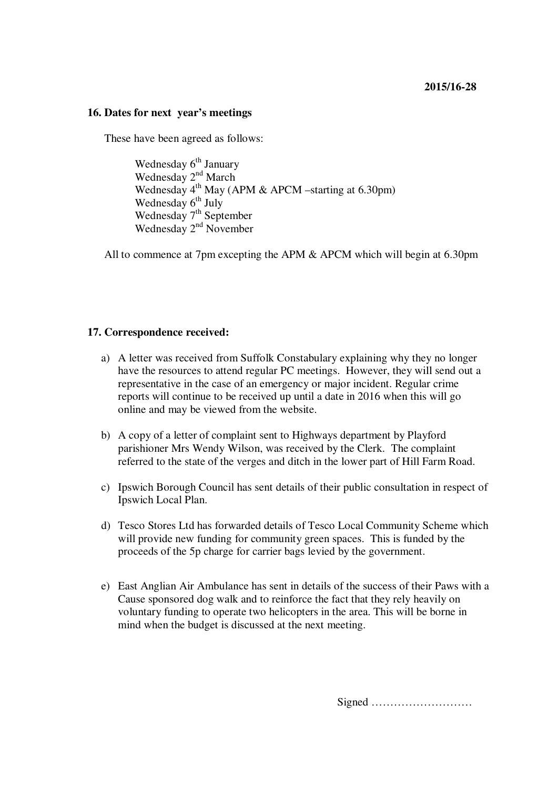#### **16. Dates for next year's meetings**

These have been agreed as follows:

Wednesday 6<sup>th</sup> January Wednesday 2<sup>nd</sup> March Wednesday  $4^{th}$  May (APM & APCM –starting at 6.30pm) Wednesday  $6<sup>th</sup>$  July Wednesday 7<sup>th</sup> September Wednesday 2<sup>nd</sup> November

All to commence at 7pm excepting the APM & APCM which will begin at 6.30pm

## **17. Correspondence received:**

- a) A letter was received from Suffolk Constabulary explaining why they no longer have the resources to attend regular PC meetings. However, they will send out a representative in the case of an emergency or major incident. Regular crime reports will continue to be received up until a date in 2016 when this will go online and may be viewed from the website.
- b) A copy of a letter of complaint sent to Highways department by Playford parishioner Mrs Wendy Wilson, was received by the Clerk. The complaint referred to the state of the verges and ditch in the lower part of Hill Farm Road.
- c) Ipswich Borough Council has sent details of their public consultation in respect of Ipswich Local Plan.
- d) Tesco Stores Ltd has forwarded details of Tesco Local Community Scheme which will provide new funding for community green spaces. This is funded by the proceeds of the 5p charge for carrier bags levied by the government.
- e) East Anglian Air Ambulance has sent in details of the success of their Paws with a Cause sponsored dog walk and to reinforce the fact that they rely heavily on voluntary funding to operate two helicopters in the area. This will be borne in mind when the budget is discussed at the next meeting.

Signed ………………………